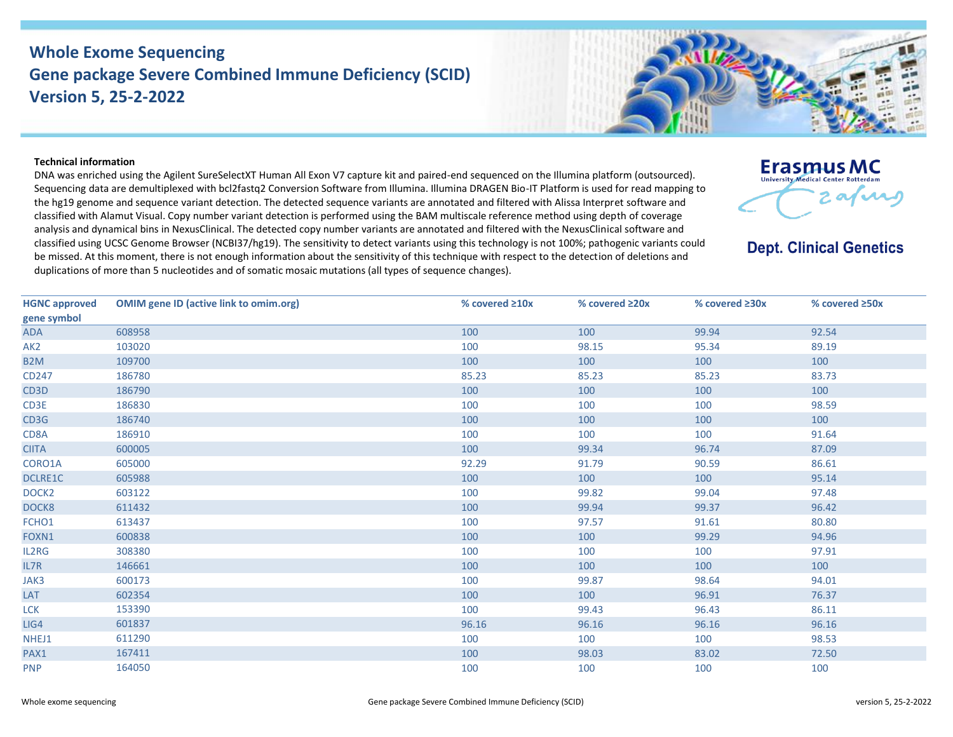## **Whole Exome Sequencing Gene package Severe Combined Immune Deficiency (SCID) Version 5, 25-2-2022**



## **Technical information**

DNA was enriched using the Agilent SureSelectXT Human All Exon V7 capture kit and paired-end sequenced on the Illumina platform (outsourced). Sequencing data are demultiplexed with bcl2fastq2 Conversion Software from Illumina. Illumina DRAGEN Bio-IT Platform is used for read mapping to the hg19 genome and sequence variant detection. The detected sequence variants are annotated and filtered with Alissa Interpret software and classified with Alamut Visual. Copy number variant detection is performed using the BAM multiscale reference method using depth of coverage analysis and dynamical bins in NexusClinical. The detected copy number variants are annotated and filtered with the NexusClinical software and classified using UCSC Genome Browser (NCBI37/hg19). The sensitivity to detect variants using this technology is not 100%; pathogenic variants could be missed. At this moment, there is not enough information about the sensitivity of this technique with respect to the detection of deletions and duplications of more than 5 nucleotides and of somatic mosaic mutations (all types of sequence changes).



**Dept. Clinical Genetics** 

| <b>HGNC approved</b> | <b>OMIM gene ID (active link to omim.org)</b> | % covered ≥10x | % covered ≥20x | % covered $\geq 30x$ | % covered ≥50x |
|----------------------|-----------------------------------------------|----------------|----------------|----------------------|----------------|
| gene symbol          |                                               |                |                |                      |                |
| <b>ADA</b>           | 608958                                        | 100            | 100            | 99.94                | 92.54          |
| AK <sub>2</sub>      | 103020                                        | 100            | 98.15          | 95.34                | 89.19          |
| B <sub>2</sub> M     | 109700                                        | 100            | 100            | 100                  | 100            |
| CD247                | 186780                                        | 85.23          | 85.23          | 85.23                | 83.73          |
| CD3D                 | 186790                                        | 100            | 100            | 100                  | 100            |
| CD3E                 | 186830                                        | 100            | 100            | 100                  | 98.59          |
| CD3G                 | 186740                                        | 100            | 100            | 100                  | 100            |
| CD8A                 | 186910                                        | 100            | 100            | 100                  | 91.64          |
| <b>CIITA</b>         | 600005                                        | 100            | 99.34          | 96.74                | 87.09          |
| CORO1A               | 605000                                        | 92.29          | 91.79          | 90.59                | 86.61          |
| DCLRE1C              | 605988                                        | 100            | 100            | 100                  | 95.14          |
| DOCK <sub>2</sub>    | 603122                                        | 100            | 99.82          | 99.04                | 97.48          |
| DOCK8                | 611432                                        | 100            | 99.94          | 99.37                | 96.42          |
| FCHO1                | 613437                                        | 100            | 97.57          | 91.61                | 80.80          |
| FOXN1                | 600838                                        | 100            | 100            | 99.29                | 94.96          |
| IL2RG                | 308380                                        | 100            | 100            | 100                  | 97.91          |
| IL7R                 | 146661                                        | 100            | 100            | 100                  | 100            |
| JAK3                 | 600173                                        | 100            | 99.87          | 98.64                | 94.01          |
| LAT                  | 602354                                        | 100            | 100            | 96.91                | 76.37          |
| <b>LCK</b>           | 153390                                        | 100            | 99.43          | 96.43                | 86.11          |
| LIG4                 | 601837                                        | 96.16          | 96.16          | 96.16                | 96.16          |
| NHEJ1                | 611290                                        | 100            | 100            | 100                  | 98.53          |
| PAX1                 | 167411                                        | 100            | 98.03          | 83.02                | 72.50          |
| <b>PNP</b>           | 164050                                        | 100            | 100            | 100                  | 100            |